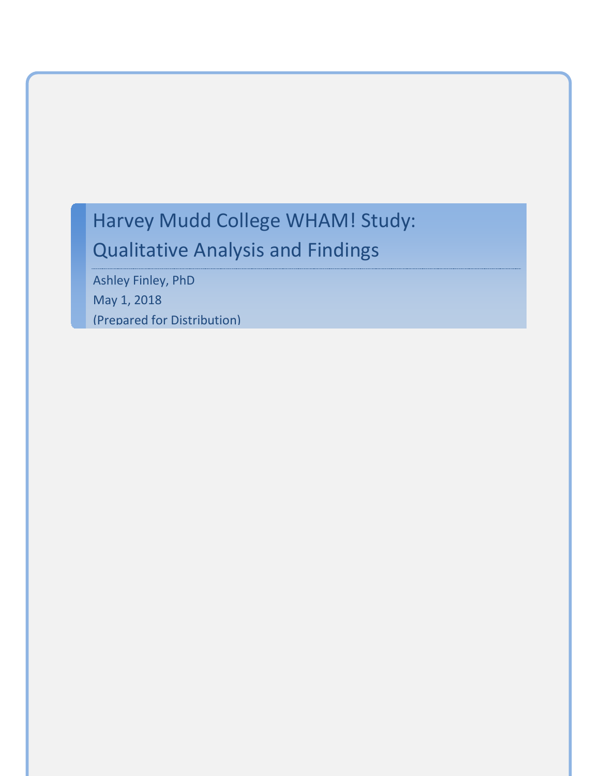# Harvey Mudd College WHAM! Study: Qualitative Analysis and Findings

Ashley Finley, PhD May 1, 2018 (Prepared for Distribution)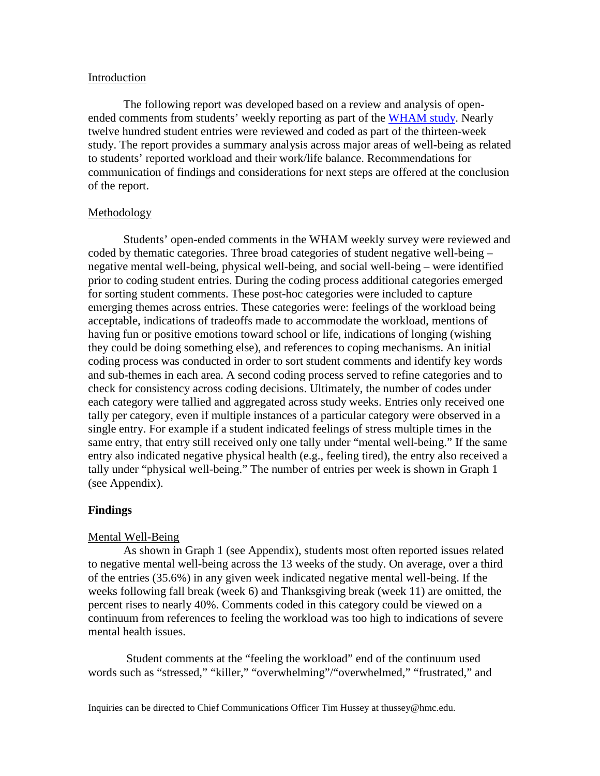## Introduction

The following report was developed based on a review and analysis of open-ended comments from students' weekly reporting as part of the [WHAM study.](https://www.hmc.edu/wham/) Nearly twelve hundred student entries were reviewed and coded as part of the thirteen-week study. The report provides a summary analysis across major areas of well-being as related to students' reported workload and their work/life balance. Recommendations for communication of findings and considerations for next steps are offered at the conclusion of the report.

#### **Methodology**

Students' open-ended comments in the WHAM weekly survey were reviewed and coded by thematic categories. Three broad categories of student negative well-being – negative mental well-being, physical well-being, and social well-being – were identified prior to coding student entries. During the coding process additional categories emerged for sorting student comments. These post-hoc categories were included to capture emerging themes across entries. These categories were: feelings of the workload being acceptable, indications of tradeoffs made to accommodate the workload, mentions of having fun or positive emotions toward school or life, indications of longing (wishing they could be doing something else), and references to coping mechanisms. An initial coding process was conducted in order to sort student comments and identify key words and sub-themes in each area. A second coding process served to refine categories and to check for consistency across coding decisions. Ultimately, the number of codes under each category were tallied and aggregated across study weeks. Entries only received one tally per category, even if multiple instances of a particular category were observed in a single entry. For example if a student indicated feelings of stress multiple times in the same entry, that entry still received only one tally under "mental well-being." If the same entry also indicated negative physical health (e.g., feeling tired), the entry also received a tally under "physical well-being." The number of entries per week is shown in Graph 1 (see Appendix).

#### **Findings**

#### Mental Well-Being

As shown in Graph 1 (see Appendix), students most often reported issues related to negative mental well-being across the 13 weeks of the study. On average, over a third of the entries (35.6%) in any given week indicated negative mental well-being. If the weeks following fall break (week 6) and Thanksgiving break (week 11) are omitted, the percent rises to nearly 40%. Comments coded in this category could be viewed on a continuum from references to feeling the workload was too high to indications of severe mental health issues.

Student comments at the "feeling the workload" end of the continuum used words such as "stressed," "killer," "overwhelming"/"overwhelmed," "frustrated," and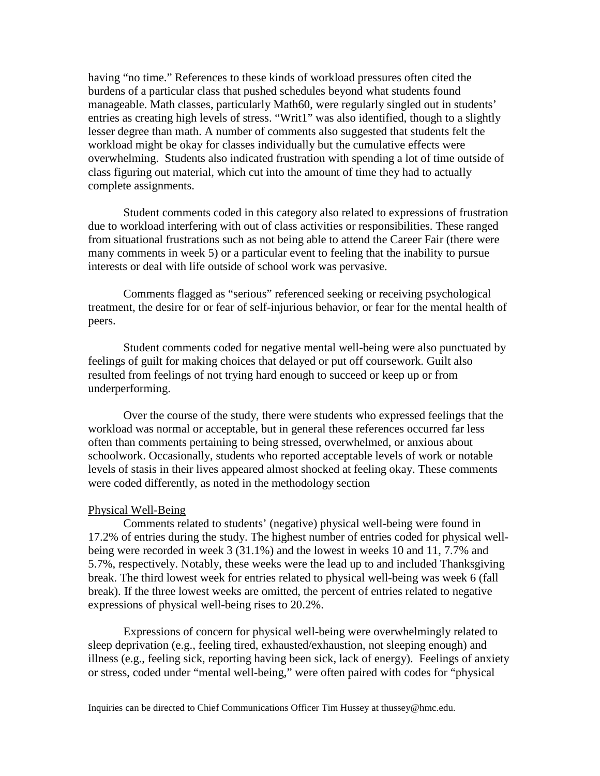having "no time." References to these kinds of workload pressures often cited the burdens of a particular class that pushed schedules beyond what students found manageable. Math classes, particularly Math60, were regularly singled out in students' entries as creating high levels of stress. "Writ1" was also identified, though to a slightly lesser degree than math. A number of comments also suggested that students felt the workload might be okay for classes individually but the cumulative effects were overwhelming. Students also indicated frustration with spending a lot of time outside of class figuring out material, which cut into the amount of time they had to actually complete assignments.

Student comments coded in this category also related to expressions of frustration due to workload interfering with out of class activities or responsibilities. These ranged from situational frustrations such as not being able to attend the Career Fair (there were many comments in week 5) or a particular event to feeling that the inability to pursue interests or deal with life outside of school work was pervasive.

Comments flagged as "serious" referenced seeking or receiving psychological treatment, the desire for or fear of self-injurious behavior, or fear for the mental health of peers.

Student comments coded for negative mental well-being were also punctuated by feelings of guilt for making choices that delayed or put off coursework. Guilt also resulted from feelings of not trying hard enough to succeed or keep up or from underperforming.

Over the course of the study, there were students who expressed feelings that the workload was normal or acceptable, but in general these references occurred far less often than comments pertaining to being stressed, overwhelmed, or anxious about schoolwork. Occasionally, students who reported acceptable levels of work or notable levels of stasis in their lives appeared almost shocked at feeling okay. These comments were coded differently, as noted in the methodology section

#### Physical Well-Being

Comments related to students' (negative) physical well-being were found in 17.2% of entries during the study. The highest number of entries coded for physical wellbeing were recorded in week 3 (31.1%) and the lowest in weeks 10 and 11, 7.7% and 5.7%, respectively. Notably, these weeks were the lead up to and included Thanksgiving break. The third lowest week for entries related to physical well-being was week 6 (fall break). If the three lowest weeks are omitted, the percent of entries related to negative expressions of physical well-being rises to 20.2%.

Expressions of concern for physical well-being were overwhelmingly related to sleep deprivation (e.g., feeling tired, exhausted/exhaustion, not sleeping enough) and illness (e.g., feeling sick, reporting having been sick, lack of energy). Feelings of anxiety or stress, coded under "mental well-being," were often paired with codes for "physical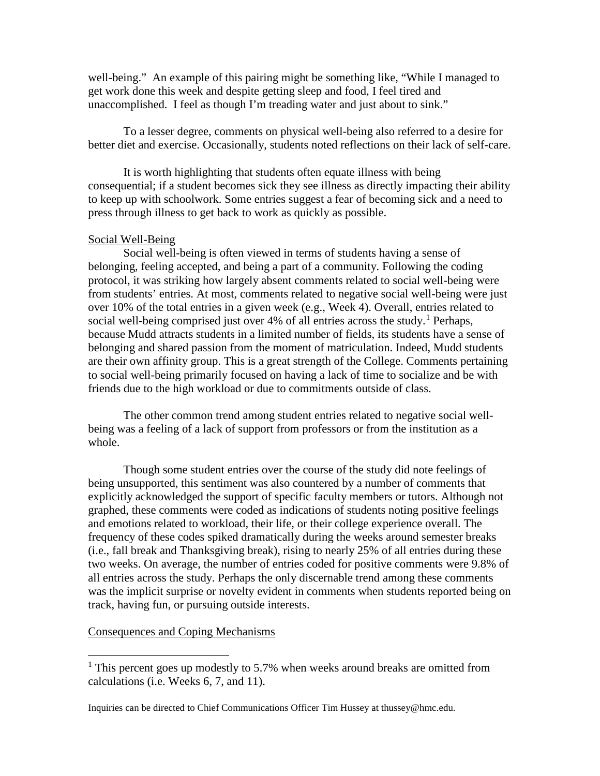well-being." An example of this pairing might be something like, "While I managed to get work done this week and despite getting sleep and food, I feel tired and unaccomplished. I feel as though I'm treading water and just about to sink."

To a lesser degree, comments on physical well-being also referred to a desire for better diet and exercise. Occasionally, students noted reflections on their lack of self-care.

It is worth highlighting that students often equate illness with being consequential; if a student becomes sick they see illness as directly impacting their ability to keep up with schoolwork. Some entries suggest a fear of becoming sick and a need to press through illness to get back to work as quickly as possible.

# Social Well-Being

Social well-being is often viewed in terms of students having a sense of belonging, feeling accepted, and being a part of a community. Following the coding protocol, it was striking how largely absent comments related to social well-being were from students' entries. At most, comments related to negative social well-being were just over 10% of the total entries in a given week (e.g., Week 4). Overall, entries related to social well-being comprised just over  $4\%$  of all entries across the study.<sup>[1](#page-3-0)</sup> Perhaps, because Mudd attracts students in a limited number of fields, its students have a sense of belonging and shared passion from the moment of matriculation. Indeed, Mudd students are their own affinity group. This is a great strength of the College. Comments pertaining to social well-being primarily focused on having a lack of time to socialize and be with friends due to the high workload or due to commitments outside of class.

The other common trend among student entries related to negative social wellbeing was a feeling of a lack of support from professors or from the institution as a whole.

Though some student entries over the course of the study did note feelings of being unsupported, this sentiment was also countered by a number of comments that explicitly acknowledged the support of specific faculty members or tutors. Although not graphed, these comments were coded as indications of students noting positive feelings and emotions related to workload, their life, or their college experience overall. The frequency of these codes spiked dramatically during the weeks around semester breaks (i.e., fall break and Thanksgiving break), rising to nearly 25% of all entries during these two weeks. On average, the number of entries coded for positive comments were 9.8% of all entries across the study. Perhaps the only discernable trend among these comments was the implicit surprise or novelty evident in comments when students reported being on track, having fun, or pursuing outside interests.

#### Consequences and Coping Mechanisms

<span id="page-3-0"></span><sup>&</sup>lt;sup>1</sup> This percent goes up modestly to 5.7% when weeks around breaks are omitted from calculations (i.e. Weeks 6, 7, and 11).

Inquiries can be directed to Chief Communications Officer Tim Hussey at thussey@hmc.edu.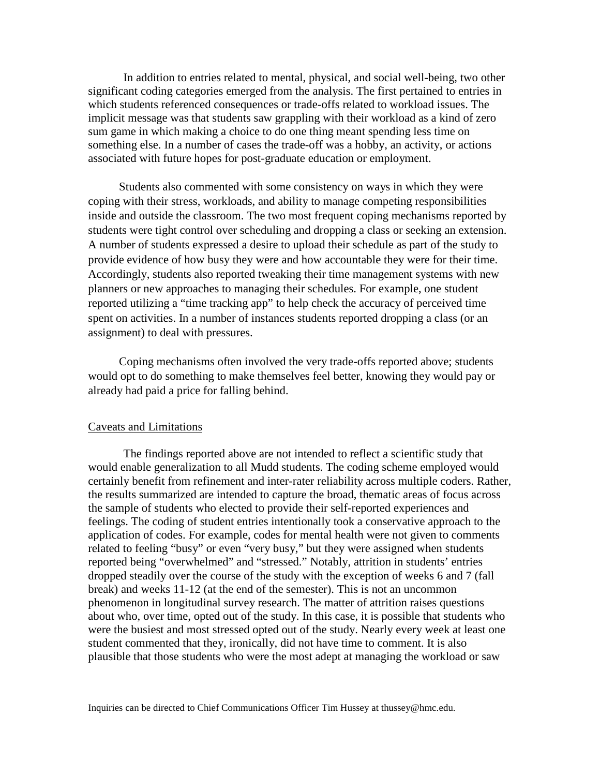In addition to entries related to mental, physical, and social well-being, two other significant coding categories emerged from the analysis. The first pertained to entries in which students referenced consequences or trade-offs related to workload issues. The implicit message was that students saw grappling with their workload as a kind of zero sum game in which making a choice to do one thing meant spending less time on something else. In a number of cases the trade-off was a hobby, an activity, or actions associated with future hopes for post-graduate education or employment.

Students also commented with some consistency on ways in which they were coping with their stress, workloads, and ability to manage competing responsibilities inside and outside the classroom. The two most frequent coping mechanisms reported by students were tight control over scheduling and dropping a class or seeking an extension. A number of students expressed a desire to upload their schedule as part of the study to provide evidence of how busy they were and how accountable they were for their time. Accordingly, students also reported tweaking their time management systems with new planners or new approaches to managing their schedules. For example, one student reported utilizing a "time tracking app" to help check the accuracy of perceived time spent on activities. In a number of instances students reported dropping a class (or an assignment) to deal with pressures.

Coping mechanisms often involved the very trade-offs reported above; students would opt to do something to make themselves feel better, knowing they would pay or already had paid a price for falling behind.

#### Caveats and Limitations

The findings reported above are not intended to reflect a scientific study that would enable generalization to all Mudd students. The coding scheme employed would certainly benefit from refinement and inter-rater reliability across multiple coders. Rather, the results summarized are intended to capture the broad, thematic areas of focus across the sample of students who elected to provide their self-reported experiences and feelings. The coding of student entries intentionally took a conservative approach to the application of codes. For example, codes for mental health were not given to comments related to feeling "busy" or even "very busy," but they were assigned when students reported being "overwhelmed" and "stressed." Notably, attrition in students' entries dropped steadily over the course of the study with the exception of weeks 6 and 7 (fall break) and weeks 11-12 (at the end of the semester). This is not an uncommon phenomenon in longitudinal survey research. The matter of attrition raises questions about who, over time, opted out of the study. In this case, it is possible that students who were the busiest and most stressed opted out of the study. Nearly every week at least one student commented that they, ironically, did not have time to comment. It is also plausible that those students who were the most adept at managing the workload or saw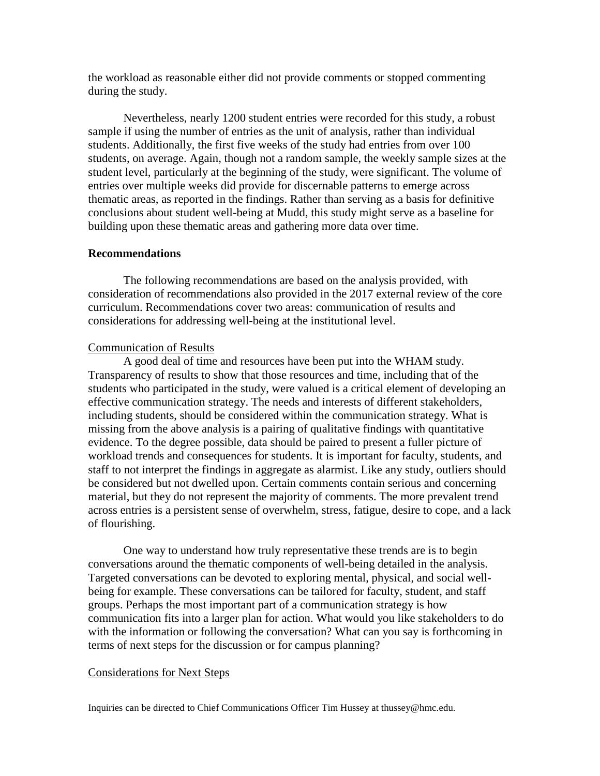the workload as reasonable either did not provide comments or stopped commenting during the study.

Nevertheless, nearly 1200 student entries were recorded for this study, a robust sample if using the number of entries as the unit of analysis, rather than individual students. Additionally, the first five weeks of the study had entries from over 100 students, on average. Again, though not a random sample, the weekly sample sizes at the student level, particularly at the beginning of the study, were significant. The volume of entries over multiple weeks did provide for discernable patterns to emerge across thematic areas, as reported in the findings. Rather than serving as a basis for definitive conclusions about student well-being at Mudd, this study might serve as a baseline for building upon these thematic areas and gathering more data over time.

## **Recommendations**

The following recommendations are based on the analysis provided, with consideration of recommendations also provided in the 2017 external review of the core curriculum. Recommendations cover two areas: communication of results and considerations for addressing well-being at the institutional level.

#### Communication of Results

A good deal of time and resources have been put into the WHAM study. Transparency of results to show that those resources and time, including that of the students who participated in the study, were valued is a critical element of developing an effective communication strategy. The needs and interests of different stakeholders, including students, should be considered within the communication strategy. What is missing from the above analysis is a pairing of qualitative findings with quantitative evidence. To the degree possible, data should be paired to present a fuller picture of workload trends and consequences for students. It is important for faculty, students, and staff to not interpret the findings in aggregate as alarmist. Like any study, outliers should be considered but not dwelled upon. Certain comments contain serious and concerning material, but they do not represent the majority of comments. The more prevalent trend across entries is a persistent sense of overwhelm, stress, fatigue, desire to cope, and a lack of flourishing.

One way to understand how truly representative these trends are is to begin conversations around the thematic components of well-being detailed in the analysis. Targeted conversations can be devoted to exploring mental, physical, and social wellbeing for example. These conversations can be tailored for faculty, student, and staff groups. Perhaps the most important part of a communication strategy is how communication fits into a larger plan for action. What would you like stakeholders to do with the information or following the conversation? What can you say is forthcoming in terms of next steps for the discussion or for campus planning?

#### Considerations for Next Steps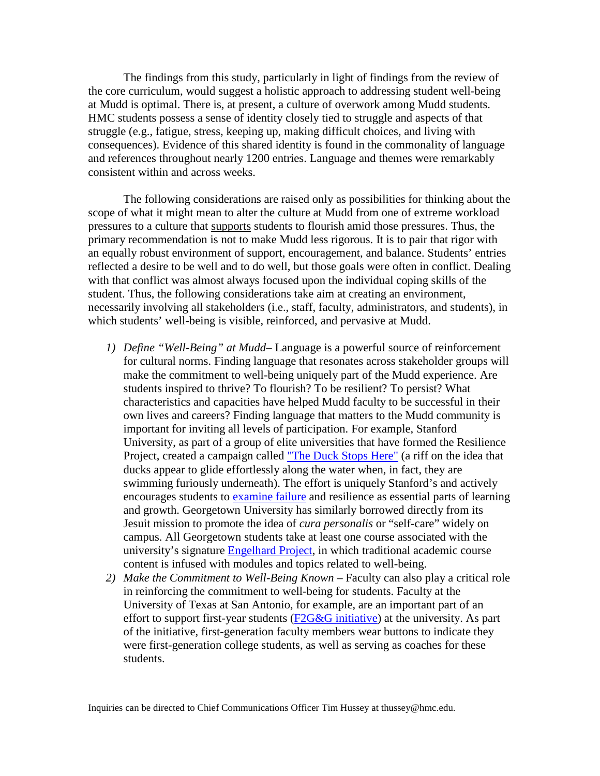The findings from this study, particularly in light of findings from the review of the core curriculum, would suggest a holistic approach to addressing student well-being at Mudd is optimal. There is, at present, a culture of overwork among Mudd students. HMC students possess a sense of identity closely tied to struggle and aspects of that struggle (e.g., fatigue, stress, keeping up, making difficult choices, and living with consequences). Evidence of this shared identity is found in the commonality of language and references throughout nearly 1200 entries. Language and themes were remarkably consistent within and across weeks.

The following considerations are raised only as possibilities for thinking about the scope of what it might mean to alter the culture at Mudd from one of extreme workload pressures to a culture that supports students to flourish amid those pressures. Thus, the primary recommendation is not to make Mudd less rigorous. It is to pair that rigor with an equally robust environment of support, encouragement, and balance. Students' entries reflected a desire to be well and to do well, but those goals were often in conflict. Dealing with that conflict was almost always focused upon the individual coping skills of the student. Thus, the following considerations take aim at creating an environment, necessarily involving all stakeholders (i.e., staff, faculty, administrators, and students), in which students' well-being is visible, reinforced, and pervasive at Mudd.

- *1) Define "Well-Being" at Mudd* Language is a powerful source of reinforcement for cultural norms. Finding language that resonates across stakeholder groups will make the commitment to well-being uniquely part of the Mudd experience. Are students inspired to thrive? To flourish? To be resilient? To persist? What characteristics and capacities have helped Mudd faculty to be successful in their own lives and careers? Finding language that matters to the Mudd community is important for inviting all levels of participation. For example, Stanford University, as part of a group of elite universities that have formed the Resilience Project, created a campaign called ["The Duck Stops Here"](https://duckstop.stanford.edu/) (a riff on the idea that ducks appear to glide effortlessly along the water when, in fact, they are swimming furiously underneath). The effort is uniquely Stanford's and actively encourages students to [examine failure](https://vptl.stanford.edu/resilience-project/video/worst-grade) and resilience as essential parts of learning and growth. Georgetown University has similarly borrowed directly from its Jesuit mission to promote the idea of *cura personalis* or "self-care" widely on campus. All Georgetown students take at least one course associated with the university's signature [Engelhard Project,](http://engelhard.georgetown.edu/) in which traditional academic course content is infused with modules and topics related to well-being.
- *2) Make the Commitment to Well-Being Known* Faculty can also play a critical role in reinforcing the commitment to well-being for students. Faculty at the University of Texas at San Antonio, for example, are an important part of an effort to support first-year students [\(F2G&G initiative\)](https://www.utsa.edu/today/2017/09/story/first-gen-coaches.html) at the university. As part of the initiative, first-generation faculty members wear buttons to indicate they were first-generation college students, as well as serving as coaches for these students.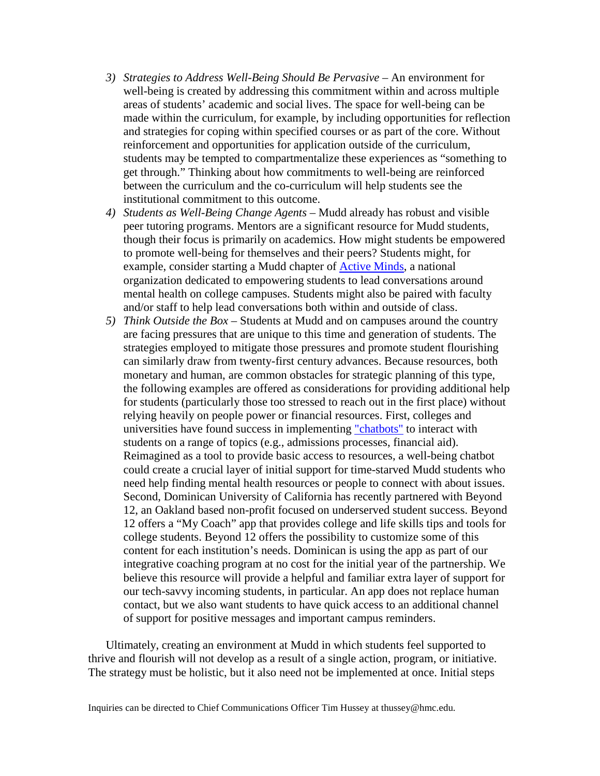- *3) Strategies to Address Well-Being Should Be Pervasive* An environment for well-being is created by addressing this commitment within and across multiple areas of students' academic and social lives. The space for well-being can be made within the curriculum, for example, by including opportunities for reflection and strategies for coping within specified courses or as part of the core. Without reinforcement and opportunities for application outside of the curriculum, students may be tempted to compartmentalize these experiences as "something to get through." Thinking about how commitments to well-being are reinforced between the curriculum and the co-curriculum will help students see the institutional commitment to this outcome.
- *4) Students as Well-Being Change Agents* Mudd already has robust and visible peer tutoring programs. Mentors are a significant resource for Mudd students, though their focus is primarily on academics. How might students be empowered to promote well-being for themselves and their peers? Students might, for example, consider starting a Mudd chapter of [Active Minds,](http://activeminds.org/about) a national organization dedicated to empowering students to lead conversations around mental health on college campuses. Students might also be paired with faculty and/or staff to help lead conversations both within and outside of class.
- *5) Think Outside the Box*  Students at Mudd and on campuses around the country are facing pressures that are unique to this time and generation of students. The strategies employed to mitigate those pressures and promote student flourishing can similarly draw from twenty-first century advances. Because resources, both monetary and human, are common obstacles for strategic planning of this type, the following examples are offered as considerations for providing additional help for students (particularly those too stressed to reach out in the first place) without relying heavily on people power or financial resources. First, colleges and universities have found success in implementing ["chatbots"](https://chatbotslife.com/higher-education-chatbot-chatbots-are-the-future-of-higher-education-51f151e93b02) to interact with students on a range of topics (e.g., admissions processes, financial aid). Reimagined as a tool to provide basic access to resources, a well-being chatbot could create a crucial layer of initial support for time-starved Mudd students who need help finding mental health resources or people to connect with about issues. Second, Dominican University of California has recently partnered with Beyond 12, an Oakland based non-profit focused on underserved student success. Beyond 12 offers a "My Coach" app that provides college and life skills tips and tools for college students. Beyond 12 offers the possibility to customize some of this content for each institution's needs. Dominican is using the app as part of our integrative coaching program at no cost for the initial year of the partnership. We believe this resource will provide a helpful and familiar extra layer of support for our tech-savvy incoming students, in particular. An app does not replace human contact, but we also want students to have quick access to an additional channel of support for positive messages and important campus reminders.

Ultimately, creating an environment at Mudd in which students feel supported to thrive and flourish will not develop as a result of a single action, program, or initiative. The strategy must be holistic, but it also need not be implemented at once. Initial steps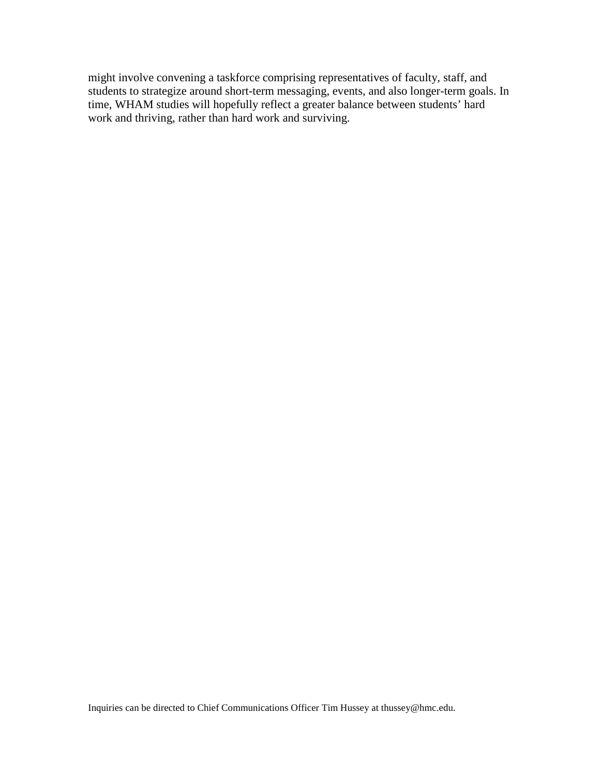might involve convening a taskforce comprising representatives of faculty, staff, and students to strategize around short-term messaging, events, and also longer-term goals. In time, WHAM studies will hopefully reflect a greater balance between students' hard work and thriving, rather than hard work and surviving.